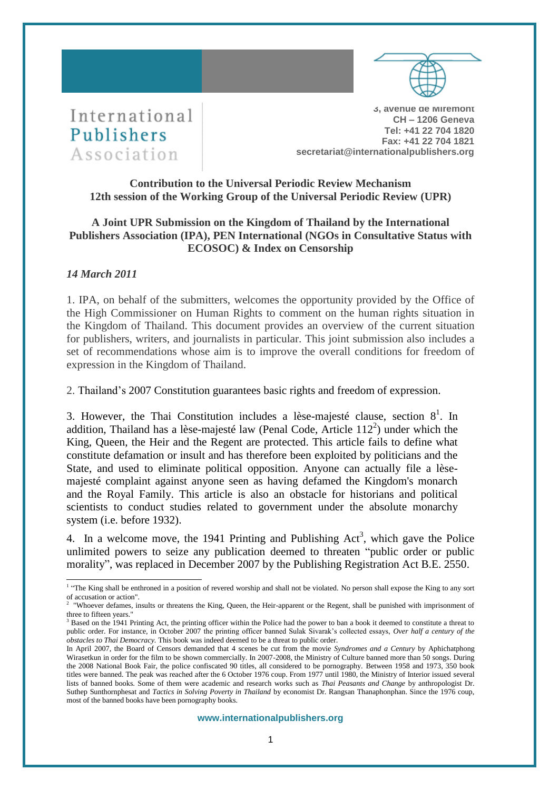



**3, avenue de Miremont CH – 1206 Geneva Tel: +41 22 704 1820 Fax: +41 22 704 1821 secretariat@internationalpublishers.org**

# **Contribution to the Universal Periodic Review Mechanism 12th session of the Working Group of the Universal Periodic Review (UPR)**

### **A Joint UPR Submission on the Kingdom of Thailand by the International Publishers Association (IPA), PEN International (NGOs in Consultative Status with ECOSOC) & Index on Censorship**

## *14 March 2011*

1. IPA, on behalf of the submitters, welcomes the opportunity provided by the Office of the High Commissioner on Human Rights to comment on the human rights situation in the Kingdom of Thailand. This document provides an overview of the current situation for publishers, writers, and journalists in particular. This joint submission also includes a set of recommendations whose aim is to improve the overall conditions for freedom of expression in the Kingdom of Thailand.

2. Thailand's 2007 Constitution guarantees basic rights and freedom of expression.

3. However, the Thai Constitution includes a lèse-majesté clause, section  $8^1$ . In addition, Thailand has a lèse-majesté law (Penal Code, Article  $112<sup>2</sup>$ ) under which the King, Queen, the Heir and the Regent are protected. This article fails to define what constitute defamation or insult and has therefore been exploited by politicians and the State, and used to eliminate political opposition. Anyone can actually file a lèsemajesté complaint against anyone seen as having defamed the Kingdom's monarch and the Royal Family. This article is also an obstacle for historians and political scientists to conduct studies related to government under the absolute monarchy system (i.e. before 1932).

4. In a welcome move, the 1941 Printing and Publishing Act<sup>3</sup>, which gave the Police unlimited powers to seize any publication deemed to threaten "public order or public morality", was replaced in December 2007 by the Publishing Registration Act B.E. 2550.

<sup>&</sup>lt;sup>1</sup> "The King shall be enthroned in a position of revered worship and shall not be violated. No person shall expose the King to any sort of accusation or action".<br><sup>2</sup> "Whoever defames, insults or threatens the King, Queen, the Heir-apparent or the Regent, shall be punished with imprisonment of

three to fifteen years."

<sup>&</sup>lt;sup>3</sup> Based on the 1941 Printing Act, the printing officer within the Police had the power to ban a book it deemed to constitute a threat to public order. For instance, in October 2007 the printing officer banned Sulak Sivarak's collected essays, *Over half a century of the obstacles to Thai Democracy.* This book was indeed deemed to be a threat to public order.

In April 2007, the [Board of Censors](http://en.wikipedia.org/wiki/Censorship_in_Thailand) demanded that 4 scenes be cut from the movie *Syndromes and a Century* by Aphichatphong Wirasetkun in order for the film to be shown commercially. In 2007-2008, the Ministry of Culture banned more than 50 songs. During the 2008 National Book Fair, the police confiscated 90 titles, all considered to be pornography. Between 1958 and 1973, 350 book titles were banned. The peak was reached after the 6 October 1976 coup. From 1977 until 1980, the Ministry of Interior issued several lists of banned books. Some of them were academic and research works such as *Thai Peasants and Change* by anthropologist Dr. Suthep Sunthornphesat and *Tactics in Solving Poverty in Thailand* by economist Dr. Rangsan Thanaphonphan. Since the 1976 coup, most of the banned books have been pornography books.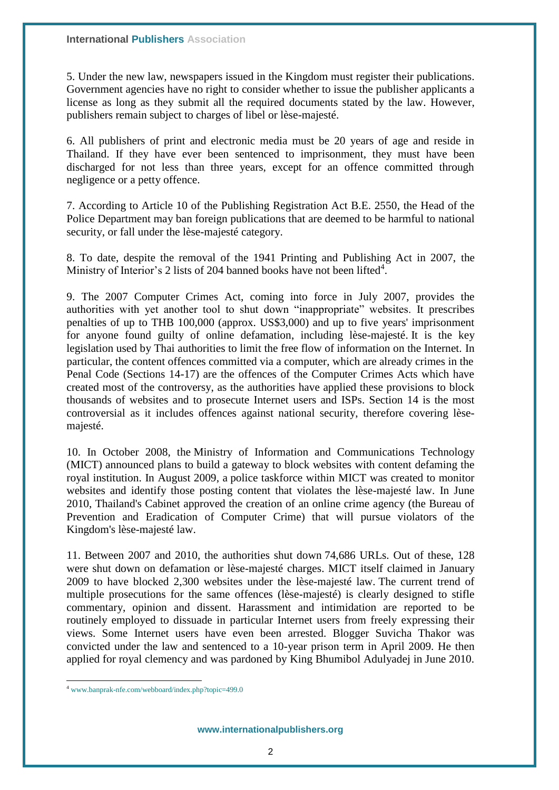5. Under the new law, newspapers issued in the Kingdom must register their publications. Government agencies have no right to consider whether to issue the publisher applicants a license as long as they submit all the required documents stated by the law. However, publishers remain subject to charges of libel or lèse-majesté.

6. All publishers of print and electronic media must be 20 years of age and reside in Thailand. If they have ever been sentenced to imprisonment, they must have been discharged for not less than three years, except for an offence committed through negligence or a petty offence.

7. According to Article 10 of the Publishing Registration Act B.E. 2550, the Head of the Police Department may ban foreign publications that are deemed to be harmful to national security, or fall under the lèse-majesté category.

8. To date, despite the removal of the 1941 Printing and Publishing Act in 2007, the Ministry of Interior's 2 lists of 204 banned books have not been lifted<sup>4</sup>.

9. The 2007 Computer Crimes Act, coming into force in July 2007, provides the authorities with yet another tool to shut down "inappropriate" websites. It prescribes penalties of up to THB 100,000 (approx. US\$3,000) and up to five years' imprisonment for anyone found guilty of online defamation, including lèse-majesté. It is the key legislation used by Thai authorities to limit the free flow of information on the Internet. In particular, the content offences committed via a computer, which are already crimes in the Penal Code (Sections 14-17) are the offences of the Computer Crimes Acts which have created most of the controversy, as the authorities have applied these provisions to block thousands of websites and to prosecute Internet users and ISPs. Section 14 is the most controversial as it includes offences against national security, therefore covering lèsemajesté.

10. In October 2008, the Ministry of Information and Communications Technology (MICT) announced plans to build a gateway to block websites with content defaming the royal institution. In August 2009, a police taskforce within MICT was created to monitor websites and identify those posting content that violates the lèse-majesté law. In June 2010, Thailand's Cabinet approved the creation of an online crime agency (the Bureau of Prevention and Eradication of Computer Crime) that will pursue violators of the Kingdom's lèse-majesté law.

11. Between 2007 and 2010, the authorities shut down 74,686 URLs. Out of these, 128 were shut down on defamation or lèse-majesté charges. MICT itself claimed in January 2009 to have blocked 2,300 websites under the lèse-majesté law. The current trend of multiple prosecutions for the same offences (lèse-majesté) is clearly designed to stifle commentary, opinion and dissent. Harassment and intimidation are reported to be routinely employed to dissuade in particular Internet users from freely expressing their views. Some Internet users have even been arrested. Blogger Suvicha Thakor was convicted under the law and sentenced to a 10-year prison term in April 2009. He then applied for royal clemency and was pardoned by King Bhumibol Adulyadej in June 2010.

 $\overline{a}$ 

<sup>4</sup> [www.banprak-nfe.com/webboard/index.php?topic=499.0](http://www.banprak-nfe.com/webboard/index.php?topic=499.0)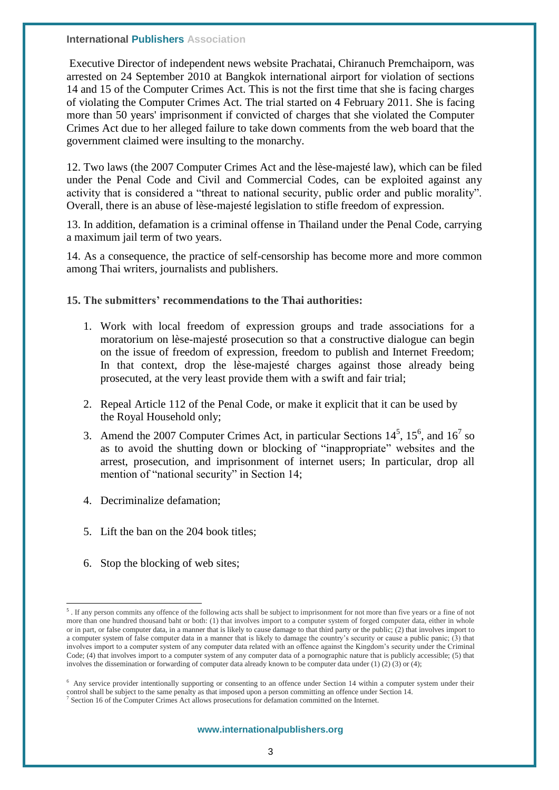**International Publishers Association** 

Executive Director of independent news website Prachatai, Chiranuch Premchaiporn, was arrested on 24 September 2010 at Bangkok international airport for violation of sections 14 and 15 of the Computer Crimes Act. This is not the first time that she is facing charges of violating the Computer Crimes Act. The trial started on 4 February 2011. She is facing more than 50 years' imprisonment if convicted of charges that she violated the Computer Crimes Act due to her alleged failure to take down comments from the web board that the government claimed were insulting to the monarchy.

12. Two laws (the 2007 Computer Crimes Act and the lèse-majesté law), which can be filed under the Penal Code and Civil and Commercial Codes, can be exploited against any activity that is considered a "threat to national security, public order and public morality". Overall, there is an abuse of lèse-majesté legislation to stifle freedom of expression.

13. In addition, defamation is a criminal offense in Thailand under the Penal Code, carrying a maximum jail term of two years.

14. As a consequence, the practice of self-censorship has become more and more common among Thai writers, journalists and publishers.

### **15. The submitters' recommendations to the Thai authorities:**

- 1. Work with local freedom of expression groups and trade associations for a moratorium on lèse-majesté prosecution so that a constructive dialogue can begin on the issue of freedom of expression, freedom to publish and Internet Freedom; In that context, drop the lèse-majesté charges against those already being prosecuted, at the very least provide them with a swift and fair trial;
- 2. Repeal Article 112 of the Penal Code, or make it explicit that it can be used by the Royal Household only;
- 3. Amend the 2007 Computer Crimes Act, in particular Sections  $14^5$ ,  $15^6$ , and  $16^7$  so as to avoid the shutting down or blocking of "inappropriate" websites and the arrest, prosecution, and imprisonment of internet users; In particular, drop all mention of "national security" in Section 14;
- 4. Decriminalize defamation;
- 5. Lift the ban on the 204 book titles;
- 6. Stop the blocking of web sites;

 5 . If any person commits any offence of the following acts shall be subject to imprisonment for not more than five years or a fine of not more than one hundred thousand baht or both: (1) that involves import to a computer system of forged computer data, either in whole or in part, or false computer data, in a manner that is likely to cause damage to that third party or the public; (2) that involves import to a computer system of false computer data in a manner that is likely to damage the country's security or cause a public panic; (3) that involves import to a computer system of any computer data related with an offence against the Kingdom's security under the Criminal Code; (4) that involves import to a computer system of any computer data of a pornographic nature that is publicly accessible; (5) that involves the dissemination or forwarding of computer data already known to be computer data under (1) (2) (3) or (4);

<sup>6</sup> Any service provider intentionally supporting or consenting to an offence under Section 14 within a computer system under their control shall be subject to the same penalty as that imposed upon a person committing an offence under Section 14. <sup>7</sup> Section 16 of the Computer Crimes Act allows prosecutions for defamation committed on the Internet.